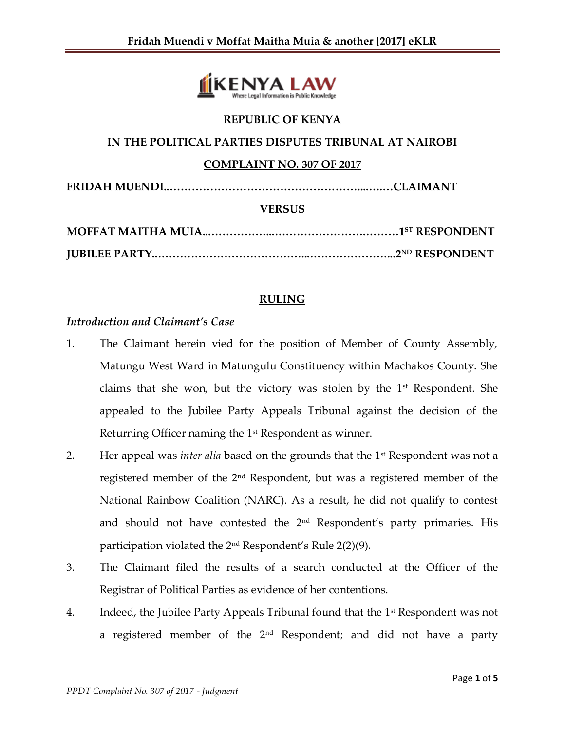

### **REPUBLIC OF KENYA**

# **IN THE POLITICAL PARTIES DISPUTES TRIBUNAL AT NAIROBI**

#### **COMPLAINT NO. 307 OF 2017**

**FRIDAH MUENDI..……………………………………………....….…CLAIMANT**

#### **VERSUS**

## **RULING**

## *Introduction and Claimant's Case*

- 1. The Claimant herein vied for the position of Member of County Assembly, Matungu West Ward in Matungulu Constituency within Machakos County. She claims that she won, but the victory was stolen by the  $1<sup>st</sup>$  Respondent. She appealed to the Jubilee Party Appeals Tribunal against the decision of the Returning Officer naming the  $1<sup>st</sup>$  Respondent as winner.
- 2. Her appeal was *inter alia* based on the grounds that the 1st Respondent was not a registered member of the 2nd Respondent, but was a registered member of the National Rainbow Coalition (NARC). As a result, he did not qualify to contest and should not have contested the 2<sup>nd</sup> Respondent's party primaries. His participation violated the 2nd Respondent's Rule 2(2)(9).
- 3. The Claimant filed the results of a search conducted at the Officer of the Registrar of Political Parties as evidence of her contentions.
- 4. Indeed, the Jubilee Party Appeals Tribunal found that the  $1<sup>st</sup>$  Respondent was not a registered member of the  $2<sup>nd</sup>$  Respondent; and did not have a party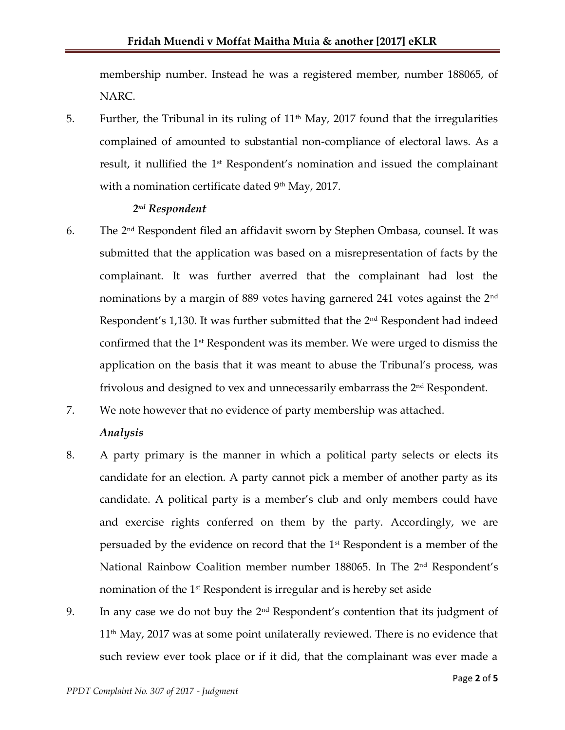membership number. Instead he was a registered member, number 188065, of NARC.

5. Further, the Tribunal in its ruling of  $11<sup>th</sup>$  May, 2017 found that the irregularities complained of amounted to substantial non-compliance of electoral laws. As a result, it nullified the 1<sup>st</sup> Respondent's nomination and issued the complainant with a nomination certificate dated  $9<sup>th</sup>$  May, 2017.

# *2 nd Respondent*

- 6. The  $2<sup>nd</sup>$  Respondent filed an affidavit sworn by Stephen Ombasa, counsel. It was submitted that the application was based on a misrepresentation of facts by the complainant. It was further averred that the complainant had lost the nominations by a margin of 889 votes having garnered 241 votes against the 2<sup>nd</sup> Respondent's  $1,130$ . It was further submitted that the  $2<sup>nd</sup>$  Respondent had indeed confirmed that the 1<sup>st</sup> Respondent was its member. We were urged to dismiss the application on the basis that it was meant to abuse the Tribunal's process, was frivolous and designed to vex and unnecessarily embarrass the 2<sup>nd</sup> Respondent.
- 7. We note however that no evidence of party membership was attached. *Analysis*
- 8. A party primary is the manner in which a political party selects or elects its candidate for an election. A party cannot pick a member of another party as its candidate. A political party is a member's club and only members could have and exercise rights conferred on them by the party. Accordingly, we are persuaded by the evidence on record that the 1st Respondent is a member of the National Rainbow Coalition member number 188065. In The 2nd Respondent's nomination of the 1<sup>st</sup> Respondent is irregular and is hereby set aside
- 9. In any case we do not buy the  $2<sup>nd</sup>$  Respondent's contention that its judgment of  $11<sup>th</sup>$  May, 2017 was at some point unilaterally reviewed. There is no evidence that such review ever took place or if it did, that the complainant was ever made a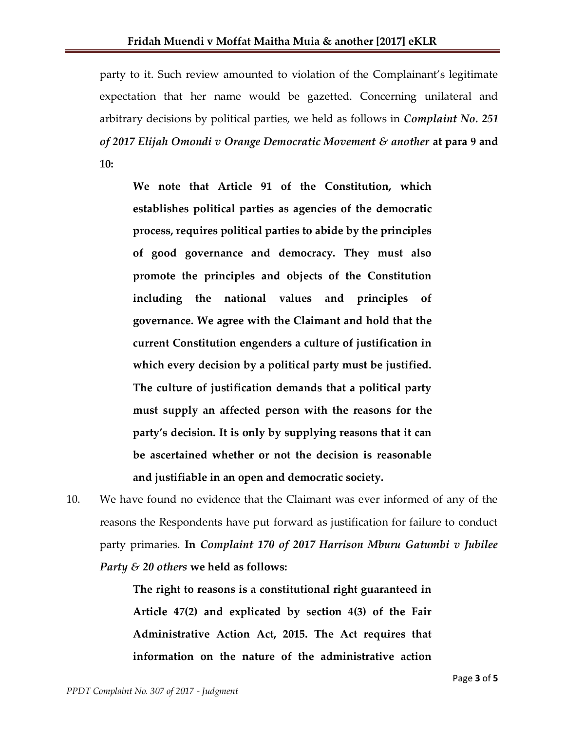party to it. Such review amounted to violation of the Complainant's legitimate expectation that her name would be gazetted. Concerning unilateral and arbitrary decisions by political parties, we held as follows in *Complaint No. 251 of 2017 Elijah Omondi v Orange Democratic Movement & another* **at para 9 and 10:**

**We note that Article 91 of the Constitution, which establishes political parties as agencies of the democratic process, requires political parties to abide by the principles of good governance and democracy. They must also promote the principles and objects of the Constitution including the national values and principles of governance. We agree with the Claimant and hold that the current Constitution engenders a culture of justification in which every decision by a political party must be justified. The culture of justification demands that a political party must supply an affected person with the reasons for the party's decision. It is only by supplying reasons that it can be ascertained whether or not the decision is reasonable and justifiable in an open and democratic society.** 

10. We have found no evidence that the Claimant was ever informed of any of the reasons the Respondents have put forward as justification for failure to conduct party primaries. **In** *Complaint 170 of 2017 Harrison Mburu Gatumbi v Jubilee Party & 20 others* **we held as follows:**

> **The right to reasons is a constitutional right guaranteed in Article 47(2) and explicated by section 4(3) of the Fair Administrative Action Act, 2015. The Act requires that information on the nature of the administrative action**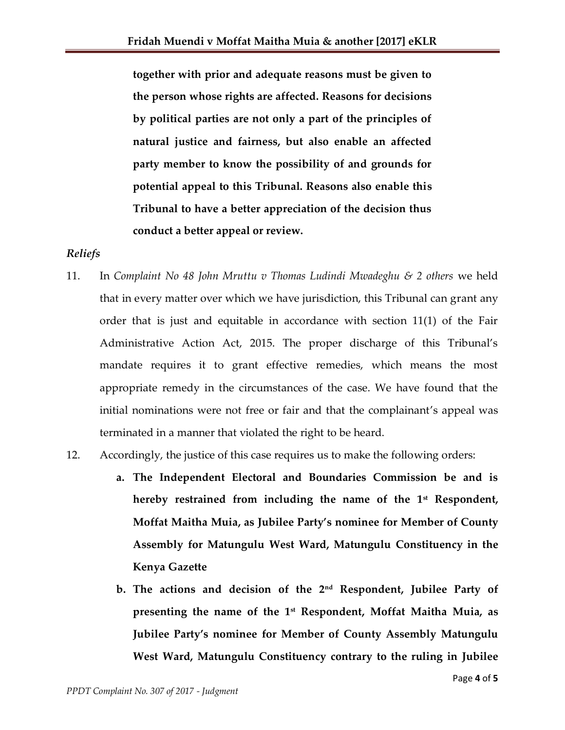**together with prior and adequate reasons must be given to the person whose rights are affected. Reasons for decisions by political parties are not only a part of the principles of natural justice and fairness, but also enable an affected party member to know the possibility of and grounds for potential appeal to this Tribunal. Reasons also enable this Tribunal to have a better appreciation of the decision thus conduct a better appeal or review.** 

## *Reliefs*

- 11. In *Complaint No 48 John Mruttu v Thomas Ludindi Mwadeghu & 2 others* we held that in every matter over which we have jurisdiction, this Tribunal can grant any order that is just and equitable in accordance with section 11(1) of the Fair Administrative Action Act, 2015. The proper discharge of this Tribunal's mandate requires it to grant effective remedies, which means the most appropriate remedy in the circumstances of the case. We have found that the initial nominations were not free or fair and that the complainant's appeal was terminated in a manner that violated the right to be heard.
- 12. Accordingly, the justice of this case requires us to make the following orders:
	- **a. The Independent Electoral and Boundaries Commission be and is hereby restrained from including the name of the 1st Respondent, Moffat Maitha Muia, as Jubilee Party's nominee for Member of County Assembly for Matungulu West Ward, Matungulu Constituency in the Kenya Gazette**
	- **b. The actions and decision of the 2nd Respondent, Jubilee Party of presenting the name of the 1st Respondent, Moffat Maitha Muia, as Jubilee Party's nominee for Member of County Assembly Matungulu West Ward, Matungulu Constituency contrary to the ruling in Jubilee**